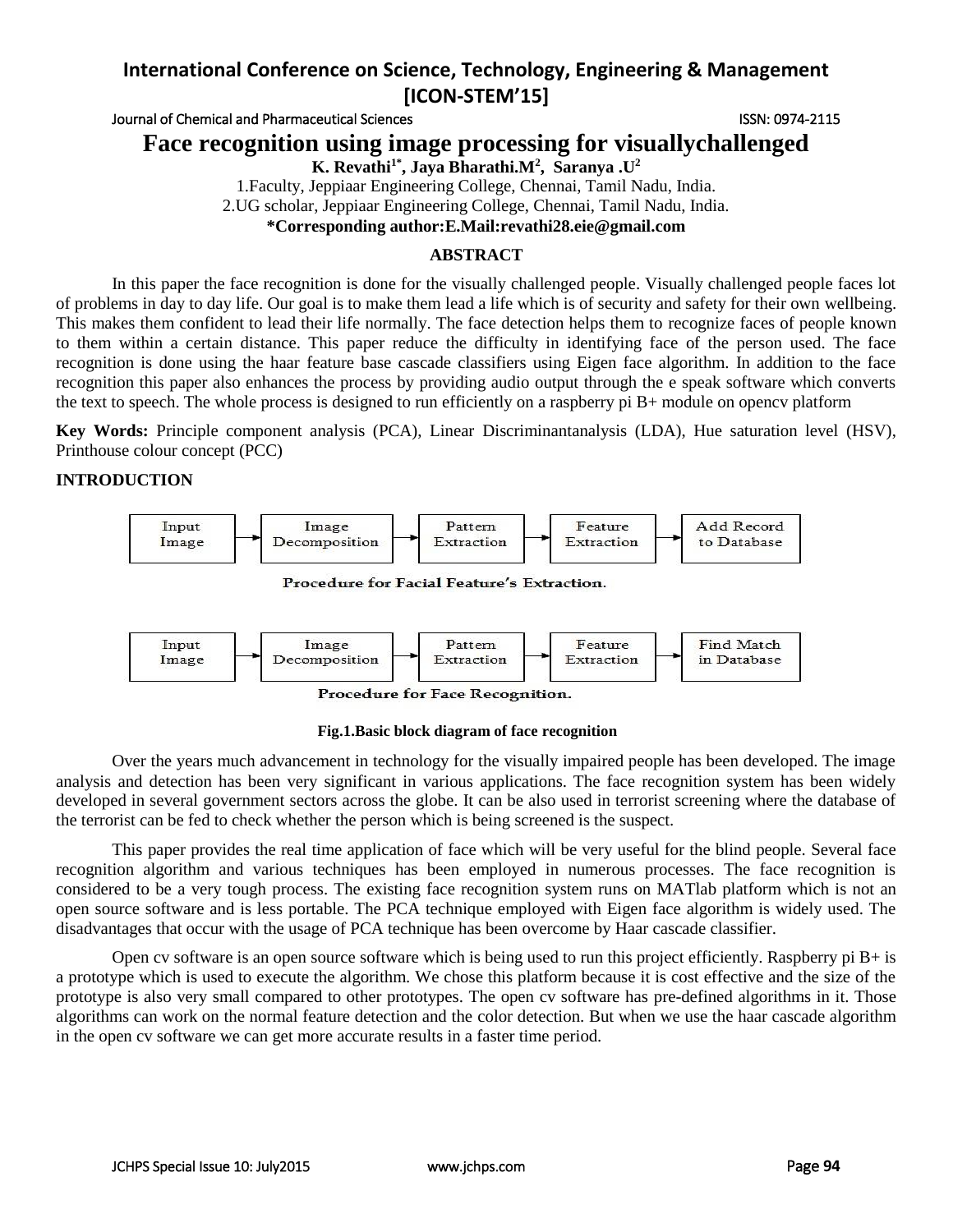Journal of Chemical and Pharmaceutical Sciences **ISSN: 0974-2115** ISSN: 0974-2115

**Face recognition using image processing for visuallychallenged**

**K. Revathi1\* , Jaya Bharathi.M<sup>2</sup> , Saranya .U<sup>2</sup>**

1.Faculty, Jeppiaar Engineering College, Chennai, Tamil Nadu, India.

2.UG scholar, Jeppiaar Engineering College, Chennai, Tamil Nadu, India.

**\*Corresponding author:E.Mail:revathi28.eie@gmail.com**

## **ABSTRACT**

In this paper the face recognition is done for the visually challenged people. Visually challenged people faces lot of problems in day to day life. Our goal is to make them lead a life which is of security and safety for their own wellbeing. This makes them confident to lead their life normally. The face detection helps them to recognize faces of people known to them within a certain distance. This paper reduce the difficulty in identifying face of the person used. The face recognition is done using the haar feature base cascade classifiers using Eigen face algorithm. In addition to the face recognition this paper also enhances the process by providing audio output through the e speak software which converts the text to speech. The whole process is designed to run efficiently on a raspberry pi B+ module on opencv platform

**Key Words:** Principle component analysis (PCA), Linear Discriminantanalysis (LDA), Hue saturation level (HSV), Printhouse colour concept (PCC)

## **INTRODUCTION**





Procedure for Face Recognition.

#### **Fig.1.Basic block diagram of face recognition**

Over the years much advancement in technology for the visually impaired people has been developed. The image analysis and detection has been very significant in various applications. The face recognition system has been widely developed in several government sectors across the globe. It can be also used in terrorist screening where the database of the terrorist can be fed to check whether the person which is being screened is the suspect.

This paper provides the real time application of face which will be very useful for the blind people. Several face recognition algorithm and various techniques has been employed in numerous processes. The face recognition is considered to be a very tough process. The existing face recognition system runs on MATlab platform which is not an open source software and is less portable. The PCA technique employed with Eigen face algorithm is widely used. The disadvantages that occur with the usage of PCA technique has been overcome by Haar cascade classifier.

Open cv software is an open source software which is being used to run this project efficiently. Raspberry pi  $B+$  is a prototype which is used to execute the algorithm. We chose this platform because it is cost effective and the size of the prototype is also very small compared to other prototypes. The open cv software has pre-defined algorithms in it. Those algorithms can work on the normal feature detection and the color detection. But when we use the haar cascade algorithm in the open cv software we can get more accurate results in a faster time period.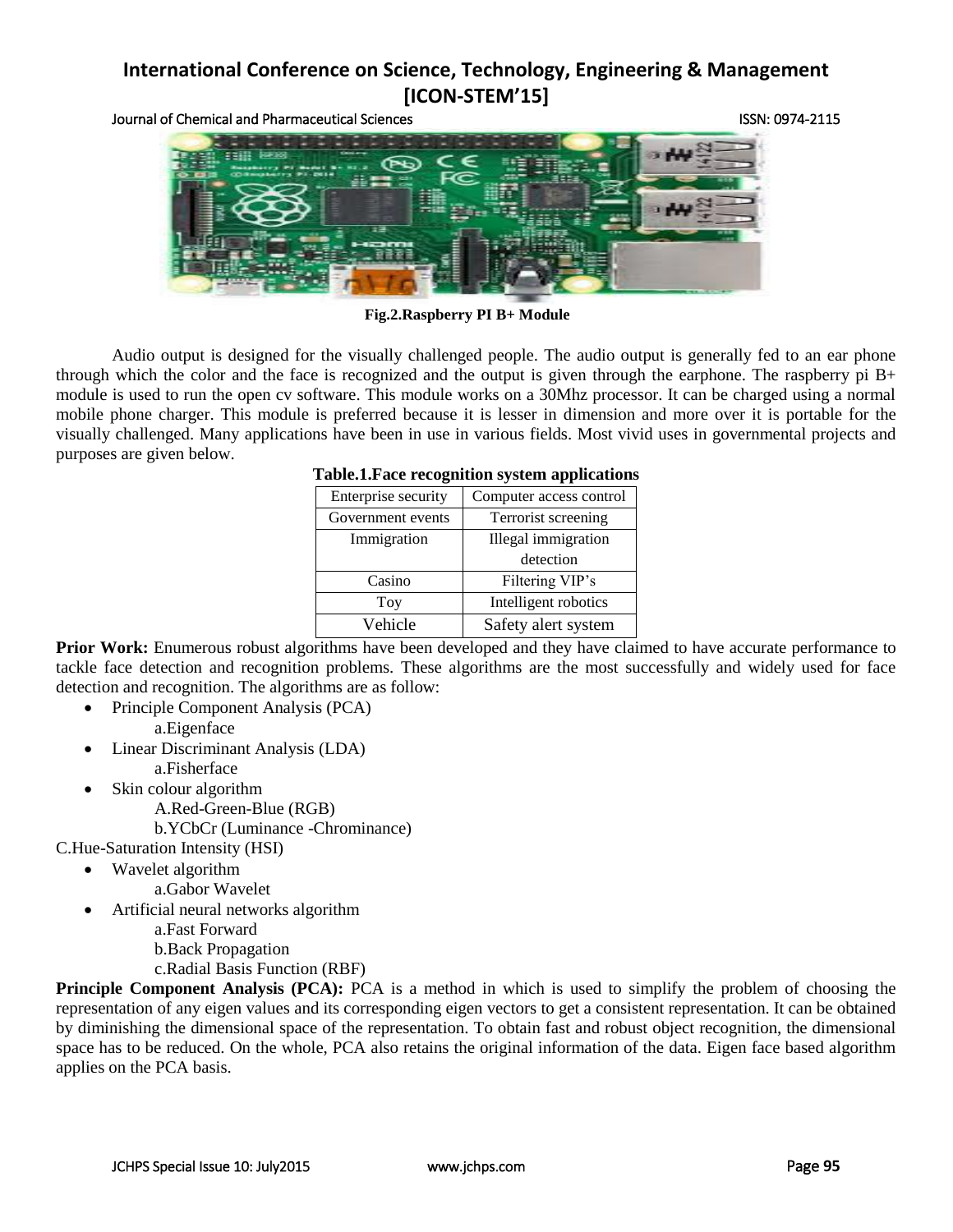Journal of Chemical and Pharmaceutical Sciences ISSN: 0974-2115



**Fig.2.Raspberry PI B+ Module**

Audio output is designed for the visually challenged people. The audio output is generally fed to an ear phone through which the color and the face is recognized and the output is given through the earphone. The raspberry pi  $B<sup>+</sup>$ module is used to run the open cv software. This module works on a 30Mhz processor. It can be charged using a normal mobile phone charger. This module is preferred because it is lesser in dimension and more over it is portable for the visually challenged. Many applications have been in use in various fields. Most vivid uses in governmental projects and purposes are given below.

| <b>Table.1. Face recognition system applications</b> |  |  |
|------------------------------------------------------|--|--|
|                                                      |  |  |

| Enterprise security | Computer access control |  |  |
|---------------------|-------------------------|--|--|
| Government events   | Terrorist screening     |  |  |
| Immigration         | Illegal immigration     |  |  |
|                     | detection               |  |  |
| Casino              | Filtering VIP's         |  |  |
| Toy                 | Intelligent robotics    |  |  |
| Vehicle             | Safety alert system     |  |  |

**Prior Work:** Enumerous robust algorithms have been developed and they have claimed to have accurate performance to tackle face detection and recognition problems. These algorithms are the most successfully and widely used for face detection and recognition. The algorithms are as follow:

- Principle Component Analysis (PCA) a.Eigenface
- Linear Discriminant Analysis (LDA)
- a.Fisherface
	- Skin colour algorithm
		- A.Red-Green-Blue (RGB)
		- b.YCbCr (Luminance -Chrominance)

C.Hue-Saturation Intensity (HSI)

- Wavelet algorithm
	- a.Gabor Wavelet
- Artificial neural networks algorithm a.Fast Forward b.Back Propagation c.Radial Basis Function (RBF)

**Principle Component Analysis (PCA):** PCA is a method in which is used to simplify the problem of choosing the representation of any eigen values and its corresponding eigen vectors to get a consistent representation. It can be obtained by diminishing the dimensional space of the representation. To obtain fast and robust object recognition, the dimensional space has to be reduced. On the whole, PCA also retains the original information of the data. Eigen face based algorithm applies on the PCA basis.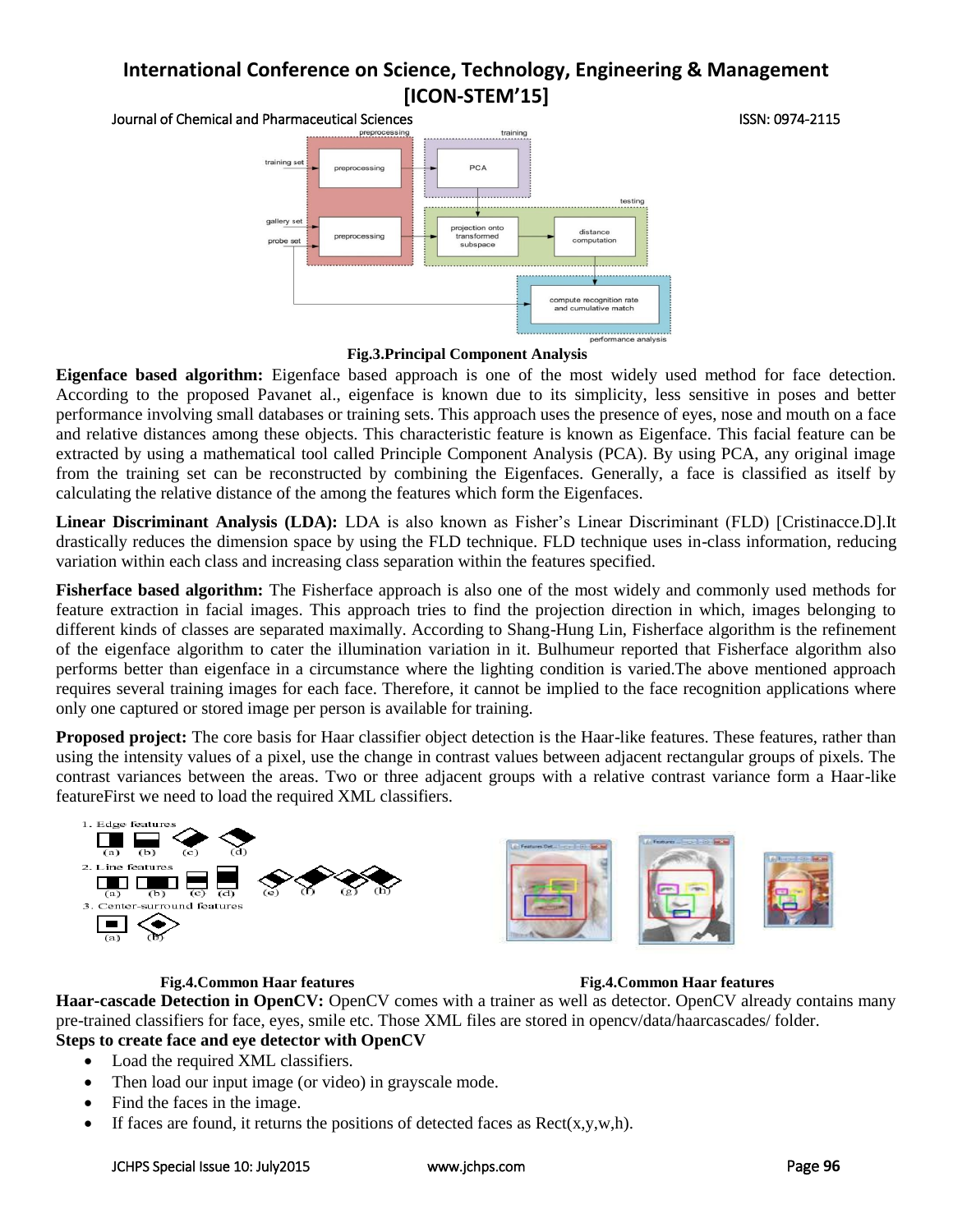

**Fig.3.Principal Component Analysis**

**Eigenface based algorithm:** Eigenface based approach is one of the most widely used method for face detection. According to the proposed Pavanet al., eigenface is known due to its simplicity, less sensitive in poses and better performance involving small databases or training sets. This approach uses the presence of eyes, nose and mouth on a face and relative distances among these objects. This characteristic feature is known as Eigenface. This facial feature can be extracted by using a mathematical tool called Principle Component Analysis (PCA). By using PCA, any original image from the training set can be reconstructed by combining the Eigenfaces. Generally, a face is classified as itself by calculating the relative distance of the among the features which form the Eigenfaces.

**Linear Discriminant Analysis (LDA):** LDA is also known as Fisher's Linear Discriminant (FLD) [Cristinacce.D].It drastically reduces the dimension space by using the FLD technique. FLD technique uses in-class information, reducing variation within each class and increasing class separation within the features specified.

**Fisherface based algorithm:** The Fisherface approach is also one of the most widely and commonly used methods for feature extraction in facial images. This approach tries to find the projection direction in which, images belonging to different kinds of classes are separated maximally. According to Shang-Hung Lin, Fisherface algorithm is the refinement of the eigenface algorithm to cater the illumination variation in it. Bulhumeur reported that Fisherface algorithm also performs better than eigenface in a circumstance where the lighting condition is varied.The above mentioned approach requires several training images for each face. Therefore, it cannot be implied to the face recognition applications where only one captured or stored image per person is available for training.

**Proposed project:** The core basis for Haar classifier object detection is the Haar-like features. These features, rather than using the intensity values of a pixel, use the change in contrast values between adjacent rectangular groups of pixels. The contrast variances between the areas. Two or three adjacent groups with a relative contrast variance form a Haar-like featureFirst we need to load the required XML classifiers.

![](_page_2_Figure_8.jpeg)

#### **Fig.4.Common Haar features Fig.4.Common Haar features**

**Haar-cascade Detection in OpenCV:** OpenCV comes with a trainer as well as detector. OpenCV already contains many pre-trained classifiers for face, eyes, smile etc. Those XML files are stored in opencv/data/haarcascades/ folder. **Steps to create face and eye detector with OpenCV**

- Load the required XML classifiers.
- Then load our input image (or video) in grayscale mode.
- Find the faces in the image.
- If faces are found, it returns the positions of detected faces as  $Rect(x,y,w,h)$ .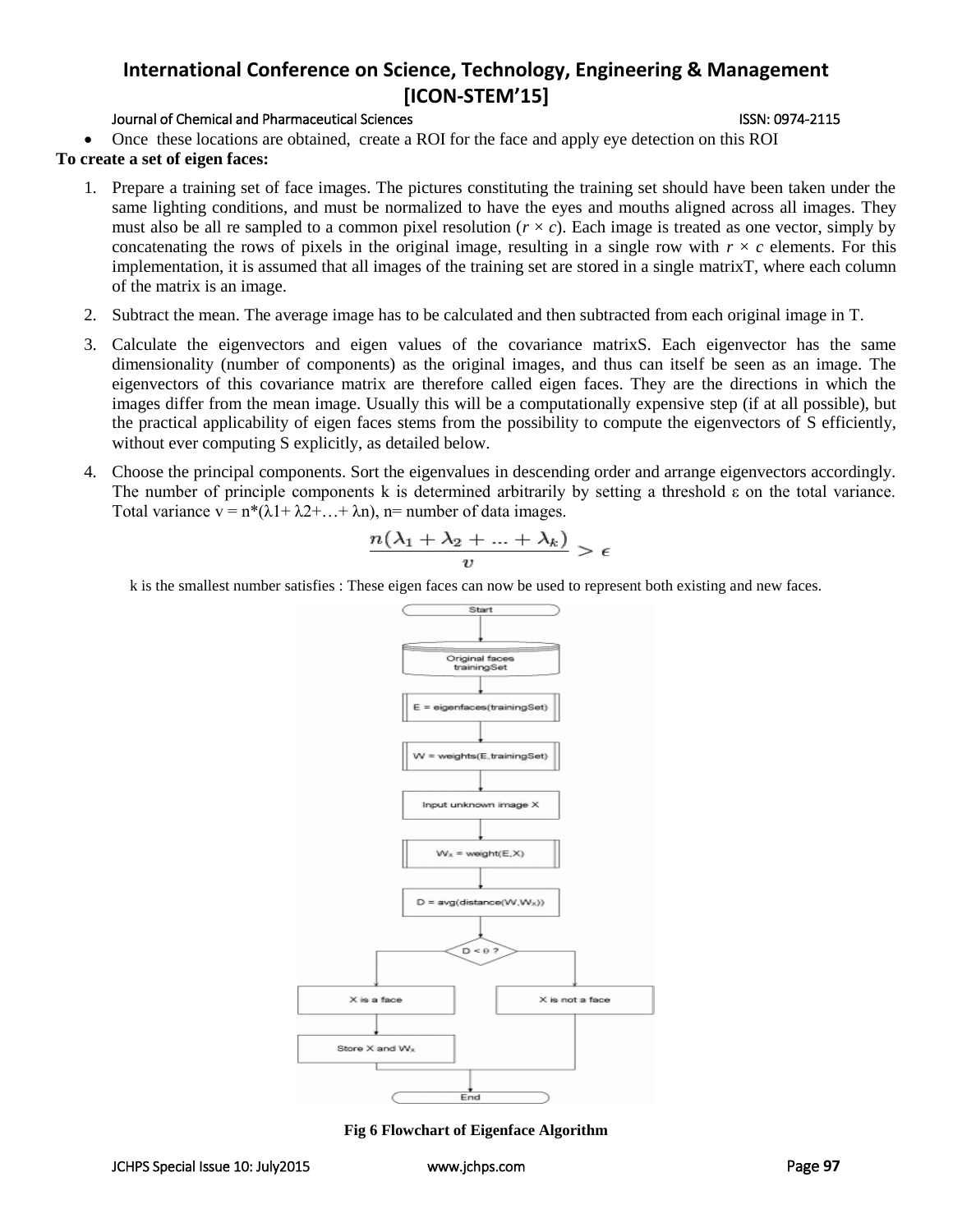### Journal of Chemical and Pharmaceutical Sciences ISSN: 0974-2115

Once these locations are obtained, create a ROI for the face and apply eye detection on this ROI

### **To create a set of eigen faces:**

- 1. Prepare a training set of face images. The pictures constituting the training set should have been taken under the same lighting conditions, and must be normalized to have the eyes and mouths aligned across all images. They must also be all re sampled to a common pixel resolution  $(r \times c)$ . Each image is treated as one vector, simply by concatenating the rows of pixels in the original image, resulting in a single row with  $r \times c$  elements. For this implementation, it is assumed that all images of the training set are stored in a single [matrixT](http://en.wikipedia.org/wiki/Matrix_%28mathematics%29), where each column of the matrix is an image.
- 2. Subtract the [mean.](http://en.wikipedia.org/wiki/Mean) The average image has to be calculated and then subtracted from each original image in T.
- 3. Calculate the [eigenvectors and eigen values](http://en.wikipedia.org/wiki/Eigenvectors_and_eigenvalues) of the [covariance matrixS](http://en.wikipedia.org/wiki/Covariance_matrix). Each eigenvector has the same dimensionality (number of components) as the original images, and thus can itself be seen as an image. The eigenvectors of this covariance matrix are therefore called eigen faces. They are the directions in which the images differ from the mean image. Usually this will be a computationally expensive step (if at all possible), but the practical applicability of eigen faces stems from the possibility to compute the eigenvectors of S efficiently, without ever computing S explicitly, as detailed below.
- 4. Choose the principal components. Sort the eigenvalues in descending order and arrange eigenvectors accordingly. The number of principle components k is determined arbitrarily by setting a threshold  $\varepsilon$  on the total variance. Total variance  $v = n^*(\lambda 1 + \lambda 2 + \ldots + \lambda n)$ , n= number of data images.

$$
\frac{n(\lambda_1+\lambda_2+\ldots+\lambda_k)}{n} > \epsilon
$$

k is the smallest number satisfies : These eigen faces can now be used to represent both existing and new faces.

![](_page_3_Figure_11.jpeg)

**Fig 6 Flowchart of Eigenface Algorithm**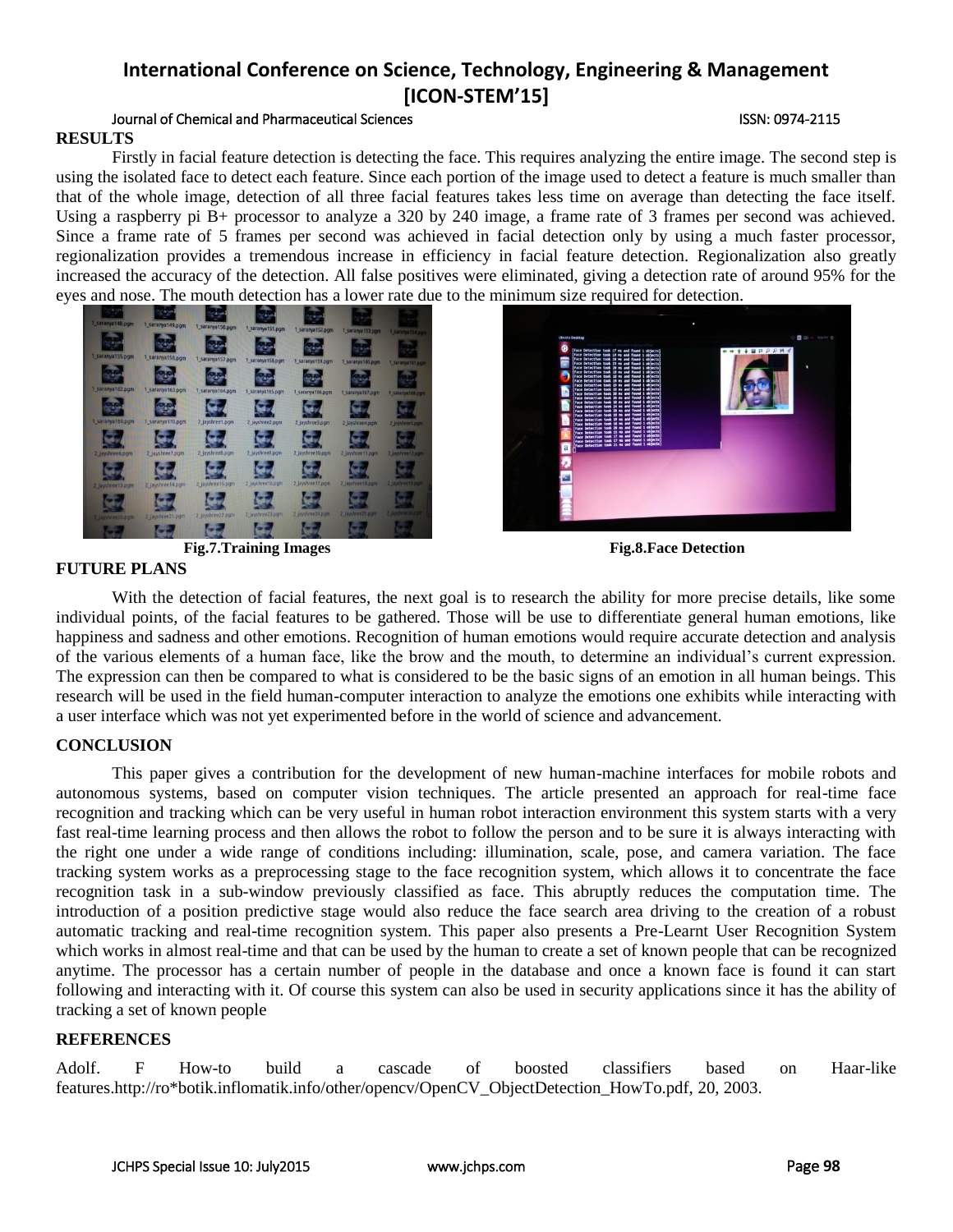### Journal of Chemical and Pharmaceutical Sciences ISSN: 0974-2115 **RESULTS**

Firstly in facial feature detection is detecting the face. This requires analyzing the entire image. The second step is using the isolated face to detect each feature. Since each portion of the image used to detect a feature is much smaller than that of the whole image, detection of all three facial features takes less time on average than detecting the face itself. Using a raspberry pi B+ processor to analyze a 320 by 240 image, a frame rate of 3 frames per second was achieved. Since a frame rate of 5 frames per second was achieved in facial detection only by using a much faster processor, regionalization provides a tremendous increase in efficiency in facial feature detection. Regionalization also greatly increased the accuracy of the detection. All false positives were eliminated, giving a detection rate of around 95% for the eyes and nose. The mouth detection has a lower rate due to the minimum size required for detection.

![](_page_4_Figure_4.jpeg)

![](_page_4_Picture_5.jpeg)

**Fig.7.Training Images Fig.8.Face Detection**

![](_page_4_Figure_7.jpeg)

## **FUTURE PLANS**

With the detection of facial features, the next goal is to research the ability for more precise details, like some individual points, of the facial features to be gathered. Those will be use to differentiate general human emotions, like happiness and sadness and other emotions. Recognition of human emotions would require accurate detection and analysis of the various elements of a human face, like the brow and the mouth, to determine an individual's current expression. The expression can then be compared to what is considered to be the basic signs of an emotion in all human beings. This research will be used in the field human-computer interaction to analyze the emotions one exhibits while interacting with a user interface which was not yet experimented before in the world of science and advancement.

## **CONCLUSION**

This paper gives a contribution for the development of new human-machine interfaces for mobile robots and autonomous systems, based on computer vision techniques. The article presented an approach for real-time face recognition and tracking which can be very useful in human robot interaction environment this system starts with a very fast real-time learning process and then allows the robot to follow the person and to be sure it is always interacting with the right one under a wide range of conditions including: illumination, scale, pose, and camera variation. The face tracking system works as a preprocessing stage to the face recognition system, which allows it to concentrate the face recognition task in a sub-window previously classified as face. This abruptly reduces the computation time. The introduction of a position predictive stage would also reduce the face search area driving to the creation of a robust automatic tracking and real-time recognition system. This paper also presents a Pre-Learnt User Recognition System which works in almost real-time and that can be used by the human to create a set of known people that can be recognized anytime. The processor has a certain number of people in the database and once a known face is found it can start following and interacting with it. Of course this system can also be used in security applications since it has the ability of tracking a set of known people

## **REFERENCES**

Adolf. F How-to build a cascade of boosted classifiers based on Haar-like features.http://ro\*botik.inflomatik.info/other/opencv/OpenCV\_ObjectDetection\_HowTo.pdf, 20, 2003.